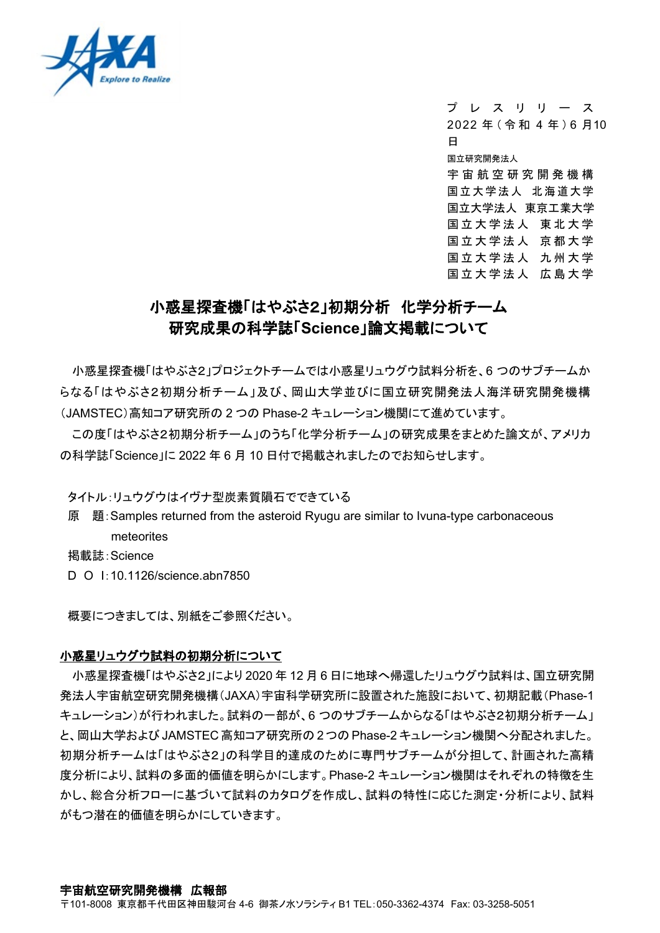

プレスリリー ス 2022 年(令和 4 年 ) 6 月10 日 国立研究開発法人 宇宙航空研究開発機 構 国立大学法人 北海道大学 国立大学法人 東京工業大学 国立大学法人 東北大学 国立大学法人 京都大学 国立大学法人 九州大学 国立大学法人 広島大学

# 小惑星探査機「はやぶさ2」初期分析 化学分析チーム 研究成果の科学誌「**Science**」論文掲載について

小惑星探査機「はやぶさ2」プロジェクトチームでは小惑星リュウグウ試料分析を、6 つのサブチームか らなる「はやぶさ2初期分析チーム」及び、岡山大学並びに国立研究開発法人海洋研究開発機構 (JAMSTEC)高知コア研究所の 2 つの Phase-2 キュレーション機関にて進めています。

この度「はやぶさ2初期分析チーム」のうち「化学分析チーム」の研究成果をまとめた論文が、アメリカ の科学誌「Science」に 2022 年 6 月 10 日付で掲載されましたのでお知らせします。

タイトル:リュウグウはイヴナ型炭素質隕石でできている

原 題:Samples returned from the asteroid Ryugu are similar to Ivuna-type carbonaceous meteorites

掲載誌:Science

D O I:10.1126/science.abn7850

概要につきましては、別紙をご参照ください。

### 小惑星リュウグウ試料の初期分析について

小惑星探査機「はやぶさ2」により 2020 年 12 月 6 日に地球へ帰還したリュウグウ試料は、国立研究開 発法人宇宙航空研究開発機構(JAXA)宇宙科学研究所に設置された施設において、初期記載(Phase-1 キュレーション)が行われました。試料の一部が、6 つのサブチームからなる「はやぶさ2初期分析チーム」 と、岡山大学および JAMSTEC 高知コア研究所の 2 つの Phase-2 キュレーション機関へ分配されました。 初期分析チームは「はやぶさ2」の科学目的達成のために専門サブチームが分担して、計画された高精 度分析により、試料の多面的価値を明らかにします。Phase-2 キュレーション機関はそれぞれの特徴を生 かし、総合分析フローに基づいて試料のカタログを作成し、試料の特性に応じた測定・分析により、試料 がもつ潜在的価値を明らかにしていきます。

#### 宇宙航空研究開発機構 広報部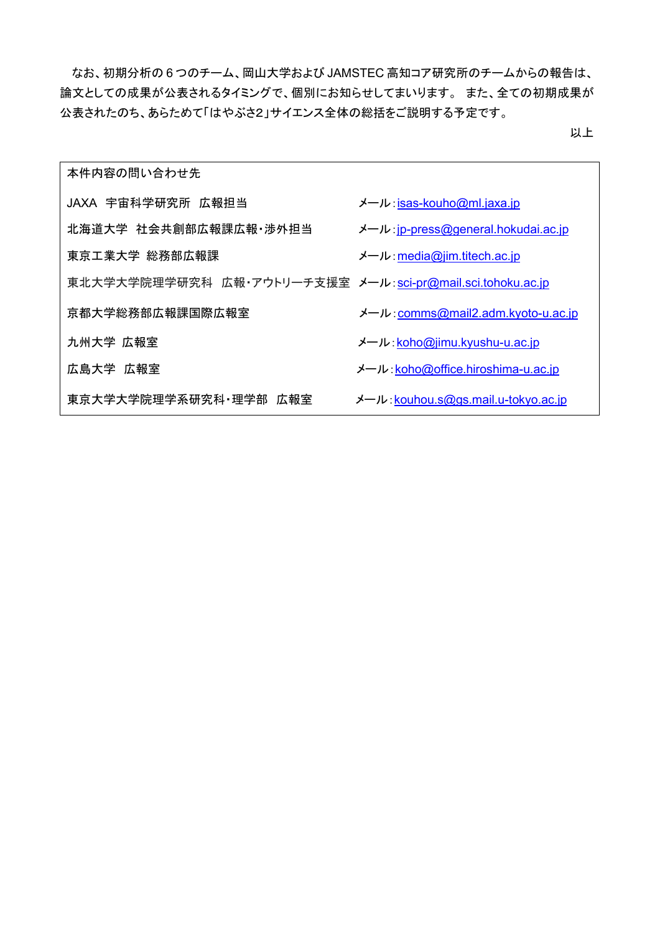なお、初期分析の 6 つのチーム、岡山大学および JAMSTEC 高知コア研究所のチームからの報告は、 論文としての成果が公表されるタイミングで、個別にお知らせしてまいります。 また、全ての初期成果が 公表されたのち、あらためて「はやぶさ2」サイエンス全体の総括をご説明する予定です。

以上

| 本件内容の問い合わせ先                                                |                                      |
|------------------------------------------------------------|--------------------------------------|
| JAXA 宇宙科学研究所 広報担当                                          | メール isas-kouho@ml.jaxa.jp            |
| 北海道大学 社会共創部広報課広報 渉外担当                                      | メール : jp-press@general.hokudai.ac.jp |
| 東京工業大学 総務部広報課                                              | メール: media@jim.titech.ac.jp          |
| 東北大学大学院理学研究科 広報·アウトリーチ支援室 メール:sci-pr@mail.sci.tohoku.ac.jp |                                      |
| 京都大学総務部広報課国際広報室                                            | メール: comms@mail2.adm.kyoto-u.ac.jp   |
| 九州大学 広報室                                                   | メール: koho@jimu.kyushu-u.ac.jp        |
| 広島大学 広報室                                                   | メール koho@office.hiroshima-u.ac.jp    |
| 東京大学大学院理学系研究科 理学部 広報室                                      | メール: kouhou.s@gs.mail.u-tokyo.ac.jp  |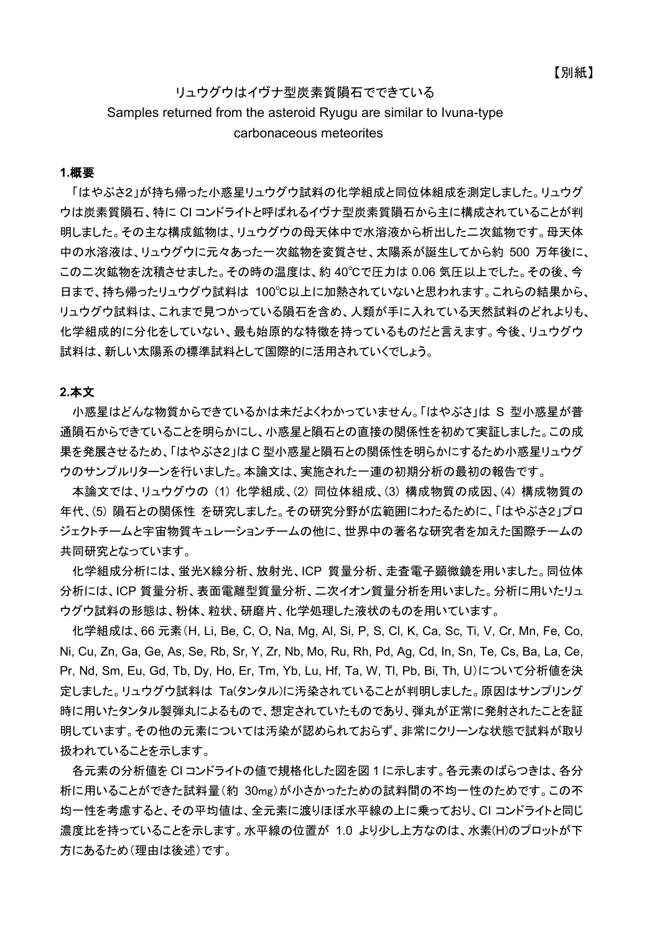## リュウグウはイヴナ型炭素質隕石でできている Samples returned from the asteroid Ryugu are similar to Ivuna-type carbonaceous meteorites

#### **1.**概要

「はやぶさ2」が持ち帰った小惑星リュウグウ試料の化学組成と同位体組成を測定しました。リュウグ ウは炭素質隕石、特に CI コンドライトと呼ばれるイヴナ型炭素質隕石から主に構成されていることが判 明しました。その主な構成鉱物は、リュウグウの母天体中で水溶液から析出した二次鉱物です。母天体 中の水溶液は、リュウグウに元々あった一次鉱物を変質させ、太陽系が誕生してから約 500 万年後に、 この二次鉱物を沈積させました。その時の温度は、約 40℃で圧力は 0.06 気圧以上でした。その後、今 日まで、持ち帰ったリュウグウ試料は 100℃以上に加熱されていないと思われます。これらの結果から、 リュウグウ試料は、これまで見つかっている隕石を含め、人類が手に入れている天然試料のどれよりも、 化学組成的に分化をしていない、最も始原的な特徴を持っているものだと言えます。今後、リュウグウ 試料は、新しい太陽系の標準試料として国際的に活用されていくでしょう。

#### **2.**本文

小惑星はどんな物質からできているかは未だよくわかっていません。「はやぶさ」は S 型小惑星が普 通隕石からできていることを明らかにし、小惑星と隕石との直接の関係性を初めて実証しました。この成 果を発展させるため、「はやぶさ2」は C 型小惑星と隕石との関係性を明らかにするため小惑星リュウグ ウのサンプルリターンを行いました。本論文は、実施された一連の初期分析の最初の報告です。

本論文では、リュウグウの (1) 化学組成、(2) 同位体組成、(3) 構成物質の成因、(4) 構成物質の 年代、(5) 隕石との関係性 を研究しました。その研究分野が広範囲にわたるために、「はやぶさ2」プロ ジェクトチームと宇宙物質キュレーションチームの他に、世界中の著名な研究者を加えた国際チームの 共同研究となっています。

化学組成分析には、蛍光X線分析、放射光、ICP 質量分析、走査電子顕微鏡を用いました。同位体 分析には、ICP 質量分析、表面電離型質量分析、二次イオン質量分析を用いました。分析に用いたリュ ウグウ試料の形態は、粉体、粒状、研磨片、化学処理した液状のものを用いています。

化学組成は、66 元素(H, Li, Be, C, O, Na, Mg, Al, Si, P, S, Cl, K, Ca, Sc, Ti, V, Cr, Mn, Fe, Co, Ni, Cu, Zn, Ga, Ge, As, Se, Rb, Sr, Y, Zr, Nb, Mo, Ru, Rh, Pd, Ag, Cd, In, Sn, Te, Cs, Ba, La, Ce, Pr, Nd, Sm, Eu, Gd, Tb, Dy, Ho, Er, Tm, Yb, Lu, Hf, Ta, W, Tl, Pb, Bi, Th, U)について分析値を決 定しました。リュウグウ試料は Ta(タンタル)に汚染されていることが判明しました。原因はサンプリング 時に用いたタンタル製弾丸によるもので、想定されていたものであり、弾丸が正常に発射されたことを証 明しています。その他の元素については汚染が認められておらず、非常にクリーンな状態で試料が取り 扱われていることを示します。

各元素の分析値を CI コンドライトの値で規格化した図を図 1 に示します。各元素のばらつきは、各分 析に用いることができた試料量(約 30mg)が小さかったための試料間の不均一性のためです。この不 均一性を考慮すると、その平均値は、全元素に渡りほぼ水平線の上に乗っており、CI コンドライトと同じ 濃度比を持っていることを示します。水平線の位置が 1.0 より少し上方なのは、水素(H)のプロットが下 方にあるため(理由は後述)です。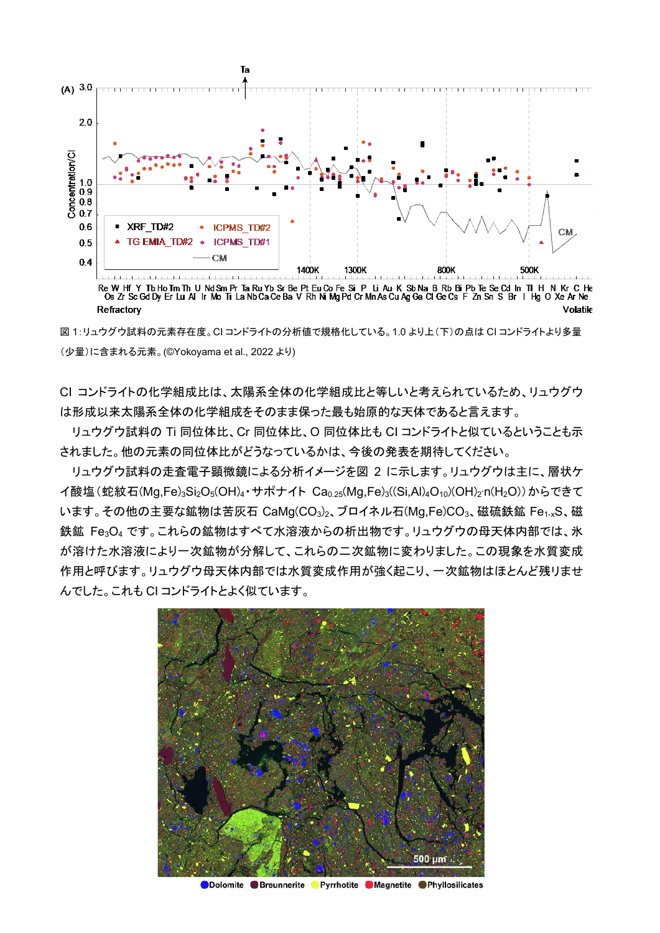

Re W Hf Y TbHo Tm Th U Nd Sm Pr Ta Ru Yb Sr Be Pt Eu Co Fe Si P Li Au K Sb Na B Rb BiPb Te Se Cd In TI H N Kr C He<br>Os Zr Sc Gd Dy Er Lu Al Ir Mo Ti La Nb Ca Ce Ba V Rh Ni Mg Pd Cr Mn As Cu Ag Ga Cl Ge Cs F Zn Sn S Br I Hg Refractory Volatile

図 1:リュウグウ試料の元素存在度。CI コンドライトの分析値で規格化している。1.0 より上(下)の点は CI コンドライトより多量 (少量)に含まれる元素。(©Yokoyama et al., 2022 より)

CI コンドライトの化学組成比は、太陽系全体の化学組成比と等しいと考えられているため、リュウグウ は形成以来太陽系全体の化学組成をそのまま保った最も始原的な天体であると言えます。

リュウグウ試料の Ti 同位体比、Cr 同位体比、O 同位体比も CI コンドライトと似ているということも示 されました。他の元素の同位体比がどうなっているかは、今後の発表を期待してください。

リュウグウ試料の走査電子顕微鏡による分析イメージを図 2 に示します。リュウグウは主に、層状ケ イ酸塩(蛇紋石(Mg,Fe)<sub>3</sub>Si<sub>2</sub>O<sub>5</sub>(OH)<sub>4</sub>・サポナイト Ca<sub>0.25</sub>(Mg,Fe)<sub>3</sub>((Si,Al)<sub>4</sub>O<sub>10</sub>)(OH)<sub>2</sub>·n(H<sub>2</sub>O))からできて います。その他の主要な鉱物は苦灰石 CaMg(CO<sub>3</sub>)<sub>2</sub>、ブロイネル石(Mg,Fe)CO<sub>3</sub>、磁硫鉄鉱 Fe<sub>1-x</sub>S、磁 鉄鉱 Fe3O4 です。これらの鉱物はすべて水溶液からの析出物です。リュウグウの母天体内部では、氷 が溶けた水溶液により一次鉱物が分解して、これらの二次鉱物に変わりました。この現象を水質変成 作用と呼びます。リュウグウ母天体内部では水質変成作用が強く起こり、一次鉱物はほとんど残リませ んでした。これも CI コンドライトとよく似ています。



ODolomite Breunnerite Pyrrhotite Magnetite Phyllosilicates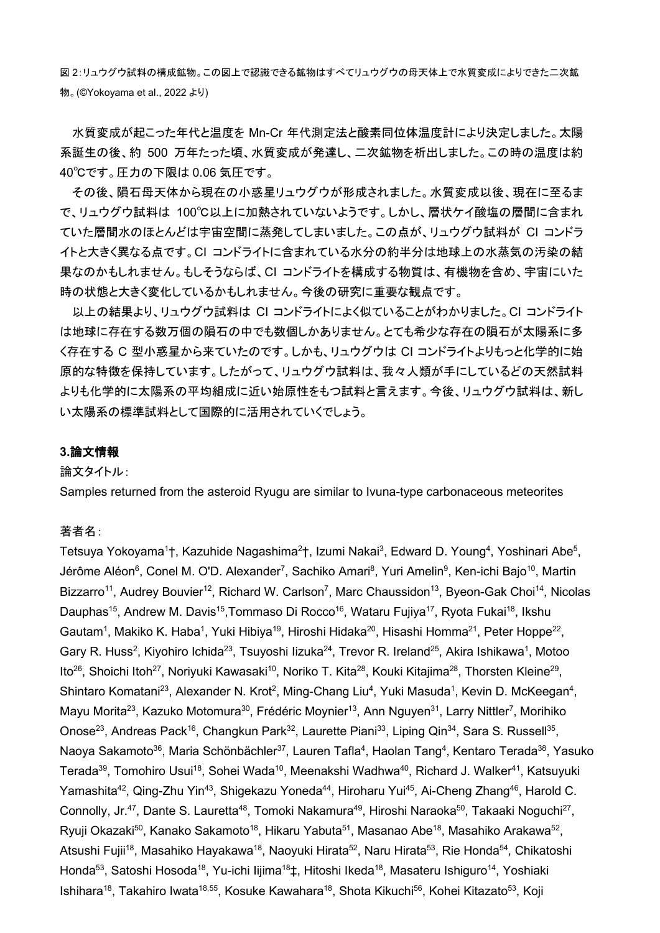図 2:リュウグウ試料の構成鉱物。この図上で認識できる鉱物はすべてリュウグウの母天体上で水質変成によりできた二次鉱 物。(©Yokoyama et al., 2022 より)

水質変成が起こった年代と温度を Mn-Cr 年代測定法と酸素同位体温度計により決定しました。太陽 系誕生の後、約 500 万年たった頃、水質変成が発達し、二次鉱物を析出しました。この時の温度は約 40℃です。圧力の下限は 0.06 気圧です。

その後、隕石母天体から現在の小惑星リュウグウが形成されました。水質変成以後、現在に至るま で、リュウグウ試料は 100℃以上に加熱されていないようです。しかし、層状ケイ酸塩の層間に含まれ ていた層間水のほとんどは宇宙空間に蒸発してしまいました。この点が、リュウグウ試料が CI コンドラ イトと大きく異なる点です。CI コンドライトに含まれている水分の約半分は地球上の水蒸気の汚染の結 果なのかもしれません。もしそうならば、CI コンドライトを構成する物質は、有機物を含め、宇宙にいた 時の状態と大きく変化しているかもしれません。今後の研究に重要な観点です。

以上の結果より、リュウグウ試料は CI コンドライトによく似ていることがわかりました。CI コンドライト は地球に存在する数万個の隕石の中でも数個しかありません。とても希少な存在の隕石が太陽系に多 く存在する C 型小惑星から来ていたのです。しかも、リュウグウは CI コンドライトよりもっと化学的に始 原的な特徴を保持しています。したがって、リュウグウ試料は、我々人類が手にしているどの天然試料 よりも化学的に太陽系の平均組成に近い始原性をもつ試料と言えます。今後、リュウグウ試料は、新し い太陽系の標準試料として国際的に活用されていくでしょう。

## **3.**論文情報

### 論文タイトル:

Samples returned from the asteroid Ryugu are similar to Ivuna-type carbonaceous meteorites

#### 著者名:

Tetsuya Yokoyama<sup>1</sup>†, Kazuhide Nagashima<sup>2</sup>†, Izumi Nakai<sup>3</sup>, Edward D. Young<sup>4</sup>, Yoshinari Abe<sup>5</sup>, Jérôme Aléon<sup>6</sup>, Conel M. O'D. Alexander<sup>7</sup>, Sachiko Amari<sup>8</sup>, Yuri Amelin<sup>9</sup>, Ken-ichi Bajo<sup>10</sup>, Martin Bizzarro<sup>11</sup>, Audrey Bouvier<sup>12</sup>, Richard W. Carlson<sup>7</sup>, Marc Chaussidon<sup>13</sup>, Byeon-Gak Choi<sup>14</sup>, Nicolas Dauphas<sup>15</sup>, Andrew M. Davis<sup>15</sup>, Tommaso Di Rocco<sup>16</sup>, Wataru Fujiya<sup>17</sup>, Ryota Fukai<sup>18</sup>, Ikshu Gautam<sup>1</sup>, Makiko K. Haba<sup>1</sup>, Yuki Hibiya<sup>19</sup>, Hiroshi Hidaka<sup>20</sup>, Hisashi Homma<sup>21</sup>, Peter Hoppe<sup>22</sup>, Gary R. Huss<sup>2</sup>, Kiyohiro Ichida<sup>23</sup>, Tsuyoshi Iizuka<sup>24</sup>, Trevor R. Ireland<sup>25</sup>, Akira Ishikawa<sup>1</sup>, Motoo Ito<sup>26</sup>, Shoichi Itoh<sup>27</sup>, Noriyuki Kawasaki<sup>10</sup>, Noriko T. Kita<sup>28</sup>, Kouki Kitajima<sup>28</sup>, Thorsten Kleine<sup>29</sup>, Shintaro Komatani<sup>23</sup>, Alexander N. Krot<sup>2</sup>, Ming-Chang Liu<sup>4</sup>, Yuki Masuda<sup>1</sup>, Kevin D. McKeegan<sup>4</sup>, Mayu Morita<sup>23</sup>, Kazuko Motomura<sup>30</sup>, Frédéric Moynier<sup>13</sup>, Ann Nguyen<sup>31</sup>, Larry Nittler<sup>7</sup>, Morihiko Onose<sup>23</sup>, Andreas Pack<sup>16</sup>, Changkun Park<sup>32</sup>, Laurette Piani<sup>33</sup>, Liping Qin<sup>34</sup>, Sara S. Russell<sup>35</sup>, Naoya Sakamoto<sup>36</sup>, Maria Schönbächler<sup>37</sup>, Lauren Tafla<sup>4</sup>, Haolan Tang<sup>4</sup>, Kentaro Terada<sup>38</sup>, Yasuko Terada<sup>39</sup>, Tomohiro Usui<sup>18</sup>, Sohei Wada<sup>10</sup>, Meenakshi Wadhwa<sup>40</sup>, Richard J. Walker<sup>41</sup>, Katsuyuki Yamashita<sup>42</sup>, Qing-Zhu Yin<sup>43</sup>, Shigekazu Yoneda<sup>44</sup>, Hiroharu Yui<sup>45</sup>, Ai-Cheng Zhang<sup>46</sup>, Harold C. Connolly, Jr.<sup>47</sup>, Dante S. Lauretta<sup>48</sup>, Tomoki Nakamura<sup>49</sup>, Hiroshi Naraoka<sup>50</sup>, Takaaki Noguchi<sup>27</sup>, Ryuji Okazaki<sup>50</sup>, Kanako Sakamoto<sup>18</sup>, Hikaru Yabuta<sup>51</sup>, Masanao Abe<sup>18</sup>, Masahiko Arakawa<sup>52</sup>, Atsushi Fujii<sup>18</sup>, Masahiko Hayakawa<sup>18</sup>, Naoyuki Hirata<sup>52</sup>, Naru Hirata<sup>53</sup>, Rie Honda<sup>54</sup>, Chikatoshi Honda<sup>53</sup>, Satoshi Hosoda<sup>18</sup>, Yu-ichi lijima<sup>18</sup>‡, Hitoshi Ikeda<sup>18</sup>, Masateru Ishiguro<sup>14</sup>, Yoshiaki Ishihara<sup>18</sup>, Takahiro Iwata<sup>18,55</sup>, Kosuke Kawahara<sup>18</sup>, Shota Kikuchi<sup>56</sup>, Kohei Kitazato<sup>53</sup>, Koji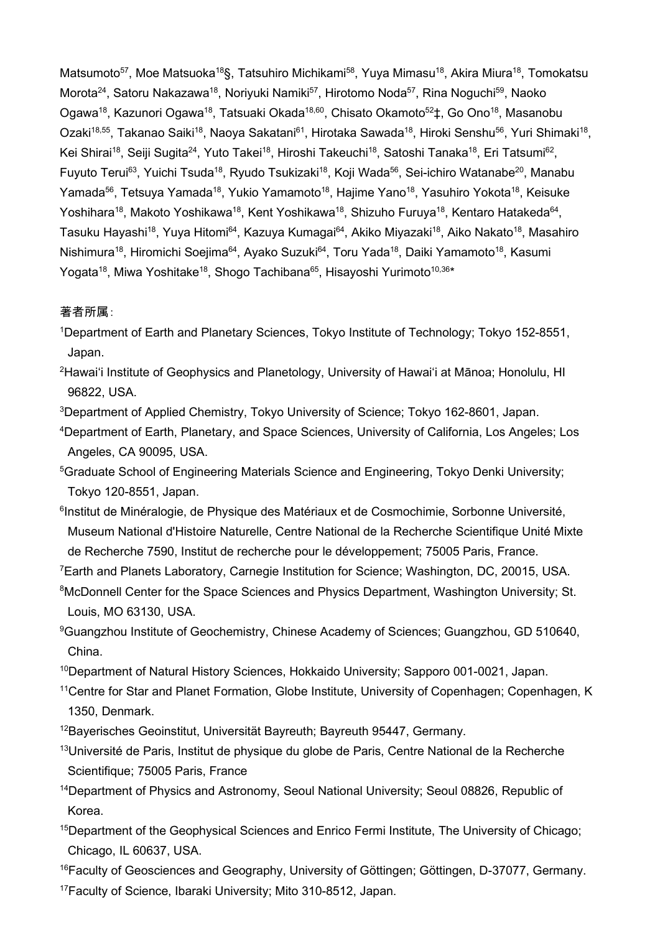Matsumoto<sup>57</sup>, Moe Matsuoka<sup>18</sup>§, Tatsuhiro Michikami<sup>58</sup>, Yuya Mimasu<sup>18</sup>, Akira Miura<sup>18</sup>, Tomokatsu Morota<sup>24</sup>, Satoru Nakazawa<sup>18</sup>, Noriyuki Namiki<sup>57</sup>, Hirotomo Noda<sup>57</sup>, Rina Noguchi<sup>59</sup>, Naoko Ogawa<sup>18</sup>, Kazunori Ogawa<sup>18</sup>, Tatsuaki Okada<sup>18,60</sup>, Chisato Okamoto<sup>52</sup>‡, Go Ono<sup>18</sup>, Masanobu Ozaki<sup>18,55</sup>, Takanao Saiki<sup>18</sup>, Naoya Sakatani<sup>61</sup>, Hirotaka Sawada<sup>18</sup>, Hiroki Senshu<sup>56</sup>, Yuri Shimaki<sup>18</sup>, Kei Shirai<sup>18</sup>, Seiji Sugita<sup>24</sup>, Yuto Takei<sup>18</sup>, Hiroshi Takeuchi<sup>18</sup>, Satoshi Tanaka<sup>18</sup>, Eri Tatsumi<sup>62</sup>, Fuyuto Terui<sup>63</sup>, Yuichi Tsuda<sup>18</sup>, Ryudo Tsukizaki<sup>18</sup>, Koji Wada<sup>56</sup>, Sei-ichiro Watanabe<sup>20</sup>, Manabu Yamada<sup>56</sup>, Tetsuya Yamada<sup>18</sup>, Yukio Yamamoto<sup>18</sup>, Hajime Yano<sup>18</sup>, Yasuhiro Yokota<sup>18</sup>, Keisuke Yoshihara<sup>18</sup>, Makoto Yoshikawa<sup>18</sup>, Kent Yoshikawa<sup>18</sup>, Shizuho Furuya<sup>18</sup>, Kentaro Hatakeda<sup>64</sup>, Tasuku Hayashi<sup>18</sup>, Yuya Hitomi<sup>64</sup>, Kazuya Kumagai<sup>64</sup>, Akiko Miyazaki<sup>18</sup>, Aiko Nakato<sup>18</sup>, Masahiro Nishimura<sup>18</sup>, Hiromichi Soejima<sup>64</sup>, Ayako Suzuki<sup>64</sup>, Toru Yada<sup>18</sup>, Daiki Yamamoto<sup>18</sup>, Kasumi Yogata<sup>18</sup>, Miwa Yoshitake<sup>18</sup>, Shogo Tachibana<sup>65</sup>, Hisayoshi Yurimoto<sup>10,36\*</sup>

## 著者所属:

- 1 Department of Earth and Planetary Sciences, Tokyo Institute of Technology; Tokyo 152-8551, Japan.
- 2 Hawai'i Institute of Geophysics and Planetology, University of Hawai'i at Mānoa; Honolulu, HI 96822, USA.
- $^3$ Department of Applied Chemistry, Tokyo University of Science; Tokyo 162-8601, Japan.
- 4 Department of Earth, Planetary, and Space Sciences, University of California, Los Angeles; Los Angeles, CA 90095, USA.
- 5 Graduate School of Engineering Materials Science and Engineering, Tokyo Denki University; Tokyo 120-8551, Japan.
- <sup>6</sup>Institut de Minéralogie, de Physique des Matériaux et de Cosmochimie, Sorbonne Université, Museum National d'Histoire Naturelle, Centre National de la Recherche Scientifique Unité Mixte de Recherche 7590, Institut de recherche pour le développement; 75005 Paris, France.
- 7 Earth and Planets Laboratory, Carnegie Institution for Science; Washington, DC, 20015, USA.
- <sup>8</sup>McDonnell Center for the Space Sciences and Physics Department, Washington University; St. Louis, MO 63130, USA.
- <sup>9</sup>Guangzhou Institute of Geochemistry, Chinese Academy of Sciences; Guangzhou, GD 510640, China.
- <sup>10</sup>Department of Natural History Sciences, Hokkaido University; Sapporo 001-0021, Japan.
- <sup>11</sup>Centre for Star and Planet Formation, Globe Institute, University of Copenhagen; Copenhagen, K 1350, Denmark.
- $12$ Bayerisches Geoinstitut, Universität Bayreuth; Bayreuth 95447, Germany.
- <sup>13</sup>Université de Paris, Institut de physique du globe de Paris, Centre National de la Recherche Scientifique; 75005 Paris, France
- <sup>14</sup>Department of Physics and Astronomy, Seoul National University; Seoul 08826, Republic of Korea.
- <sup>15</sup>Department of the Geophysical Sciences and Enrico Fermi Institute, The University of Chicago; Chicago, IL 60637, USA.

<sup>16</sup>Faculty of Geosciences and Geography, University of Göttingen; Göttingen, D-37077, Germany. <sup>17</sup>Faculty of Science, Ibaraki University; Mito 310-8512, Japan.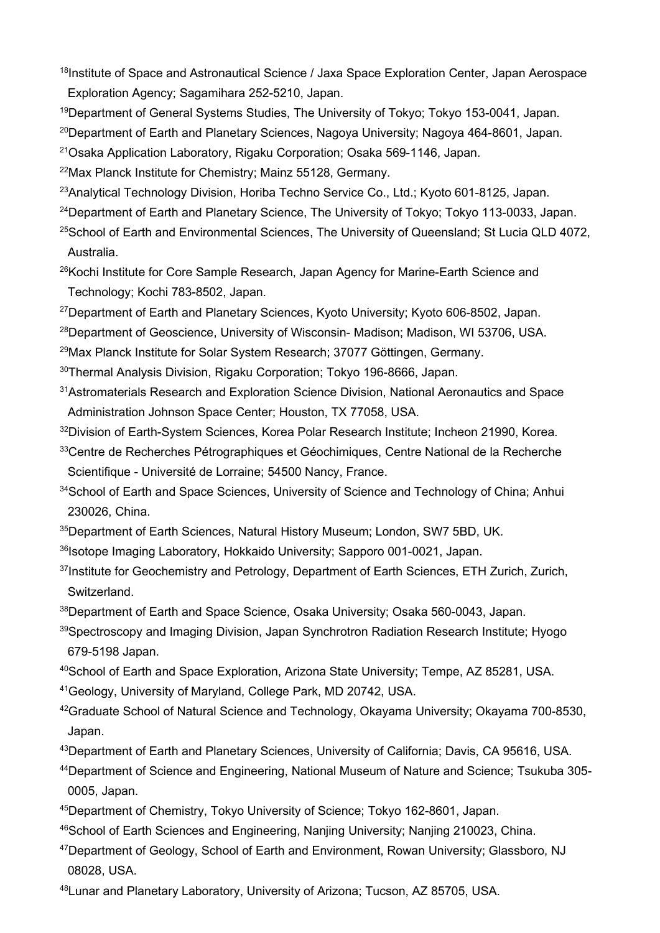<sup>18</sup>Institute of Space and Astronautical Science / Jaxa Space Exploration Center, Japan Aerospace Exploration Agency; Sagamihara 252-5210, Japan.

<sup>19</sup>Department of General Systems Studies, The University of Tokyo; Tokyo 153-0041, Japan.

<sup>20</sup>Department of Earth and Planetary Sciences, Nagoya University; Nagoya 464-8601, Japan.

21Osaka Application Laboratory, Rigaku Corporation; Osaka 569-1146, Japan.

22Max Planck Institute for Chemistry; Mainz 55128, Germany.

<sup>23</sup>Analytical Technology Division, Horiba Techno Service Co., Ltd.; Kyoto 601-8125, Japan.

<sup>24</sup>Department of Earth and Planetary Science, The University of Tokyo; Tokyo 113-0033, Japan.

<sup>25</sup>School of Earth and Environmental Sciences, The University of Queensland; St Lucia QLD 4072, Australia.

<sup>26</sup>Kochi Institute for Core Sample Research, Japan Agency for Marine-Earth Science and Technology; Kochi 783-8502, Japan.

27Department of Earth and Planetary Sciences, Kyoto University; Kyoto 606-8502, Japan.

28Department of Geoscience, University of Wisconsin- Madison; Madison, WI 53706, USA.

29Max Planck Institute for Solar System Research; 37077 Göttingen, Germany.

30Thermal Analysis Division, Rigaku Corporation; Tokyo 196-8666, Japan.

31Astromaterials Research and Exploration Science Division, National Aeronautics and Space Administration Johnson Space Center; Houston, TX 77058, USA.

32Division of Earth-System Sciences, Korea Polar Research Institute; Incheon 21990, Korea.

<sup>33</sup>Centre de Recherches Pétrographiques et Géochimiques, Centre National de la Recherche Scientifique - Université de Lorraine; 54500 Nancy, France.

<sup>34</sup>School of Earth and Space Sciences, University of Science and Technology of China; Anhui 230026, China.

35Department of Earth Sciences, Natural History Museum; London, SW7 5BD, UK.

- 36Isotope Imaging Laboratory, Hokkaido University; Sapporo 001-0021, Japan.
- <sup>37</sup>Institute for Geochemistry and Petrology, Department of Earth Sciences, ETH Zurich, Zurich, **Switzerland**

38Department of Earth and Space Science, Osaka University; Osaka 560-0043, Japan.

39Spectroscopy and Imaging Division, Japan Synchrotron Radiation Research Institute; Hyogo 679-5198 Japan.

40School of Earth and Space Exploration, Arizona State University; Tempe, AZ 85281, USA.

41Geology, University of Maryland, College Park, MD 20742, USA.

42Graduate School of Natural Science and Technology, Okayama University; Okayama 700-8530, Japan.

43Department of Earth and Planetary Sciences, University of California; Davis, CA 95616, USA.

44Department of Science and Engineering, National Museum of Nature and Science; Tsukuba 305- 0005, Japan.

45Department of Chemistry, Tokyo University of Science; Tokyo 162-8601, Japan.

46School of Earth Sciences and Engineering, Nanjing University; Nanjing 210023, China.

- 47Department of Geology, School of Earth and Environment, Rowan University; Glassboro, NJ 08028, USA.
- 48Lunar and Planetary Laboratory, University of Arizona; Tucson, AZ 85705, USA.